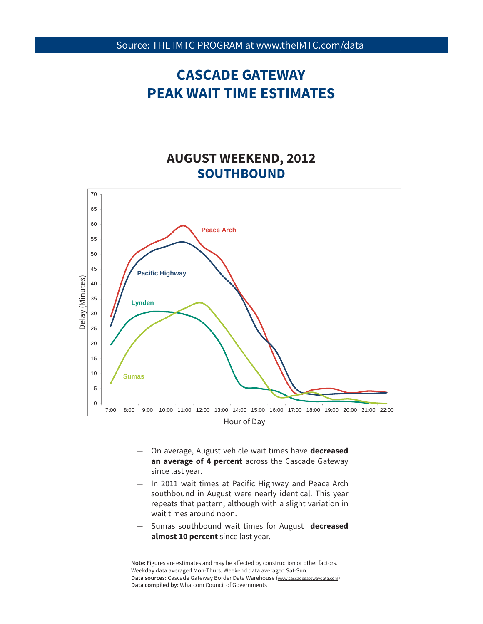### **AUGUST WEEKEND, 2012 SOUTHBOUND**



- On average, August vehicle wait times have **decreased an average of 4 percent** across the Cascade Gateway since last year.
- In 2011 wait times at Pacific Highway and Peace Arch southbound in August were nearly identical. This year repeats that pattern, although with a slight variation in wait times around noon.
- 9 Sumas southbound wait times for August **decreased almost 10 percent** since last year.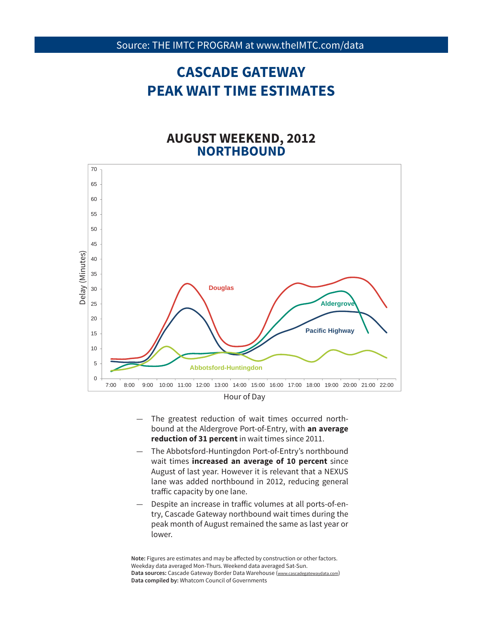#### **AUGUST WEEKEND, 2012 NORTHBOUND**



Hour of Day

- The greatest reduction of wait times occurred northbound at the Aldergrove Port-of-Entry, with **an average reduction of 31 percent** in wait times since 2011.
- The Abbotsford-Huntingdon Port-of-Entry's northbound wait times **increased an average of 10 percent** since August of last year. However it is relevant that a NEXUS lane was added northbound in 2012, reducing general traffic capacity by one lane.
- peak month of August remained the same as last year or<br>Isurer Despite an increase in traffic volumes at all ports-of-entry, Cascade Gateway northbound wait times during the lower.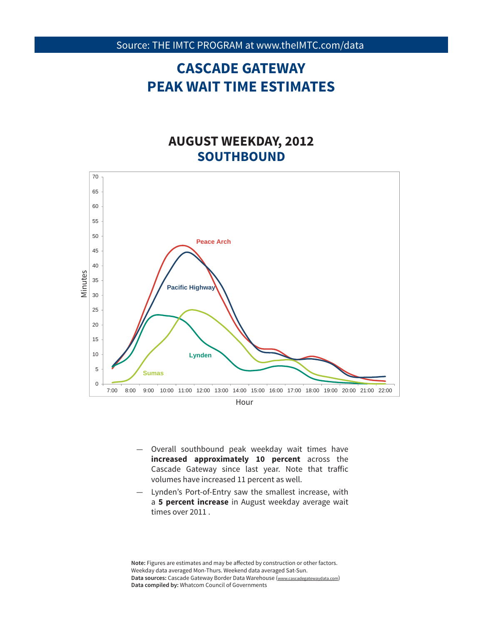### **AUGUST WEEKDAY, 2012 SOUTHBOUND**



Hour

- Overall southbound peak weekday wait times have **increased approximately 10 percent** across the Cascade Gateway since last year. Note that traffic volumes have increased 11 percent as well.
- Lynden's Port-of-Entry saw the smallest increase, with a **5 percent increase** in August weekday average wait times over 2011 .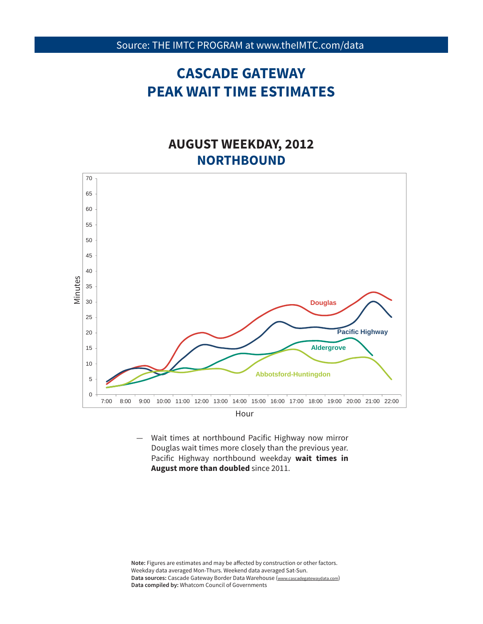### **AUGUST WEEKDAY, 2012 NORTHBOUND**



Wait times at northbound Pacific Highway now mirror Douglas wait times more closely than the previous year. Pacific Highway northbound weekday **wait times in August more than doubled** since 2011.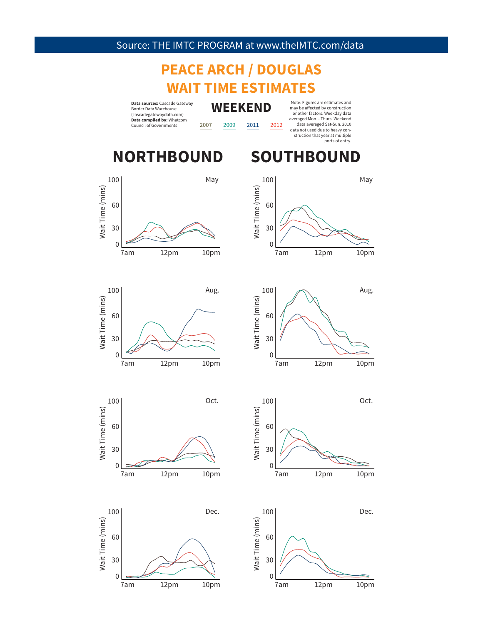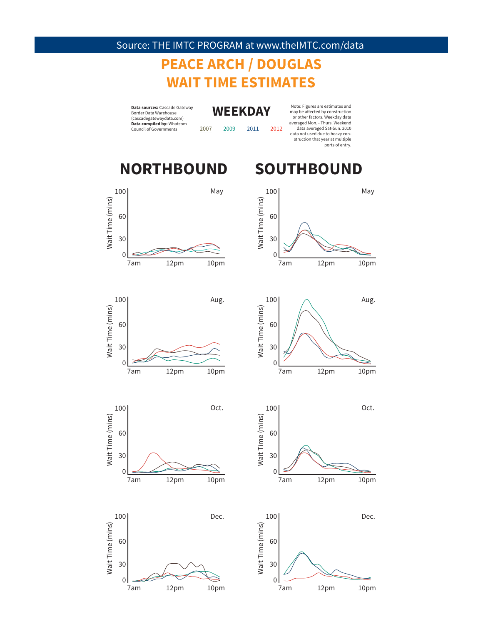# **PEACE ARCH / DOUGLAS WAIT TIME ESTIMATES**

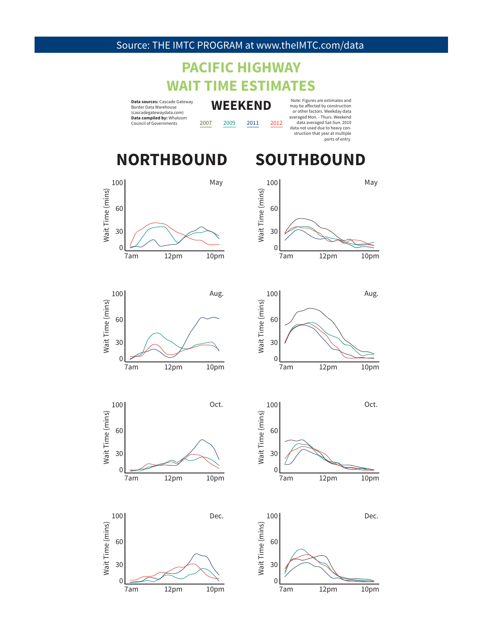## **PACIFIC HIGHWAY WAIT TIME ESTIMATES**

**Data sources:** Cascade Gateway Border Data Warehouse (cascadegatewaydata.com) **Data compiled by:** Whatcom Council of Governments

**WEEKEND** 2007 2009 2011 2012

100

60

Note: Figures are estimates and may be aff ected by construction or other factors. Weekday data averaged Mon. - Thurs. Weekend data averaged Sat-Sun. 2010 data not used due to heavy construction that year at multiple ports of entry.

## **NORTHBOUND SOUTHBOUND**





Aug.





7am 12pm 10pm

30

0







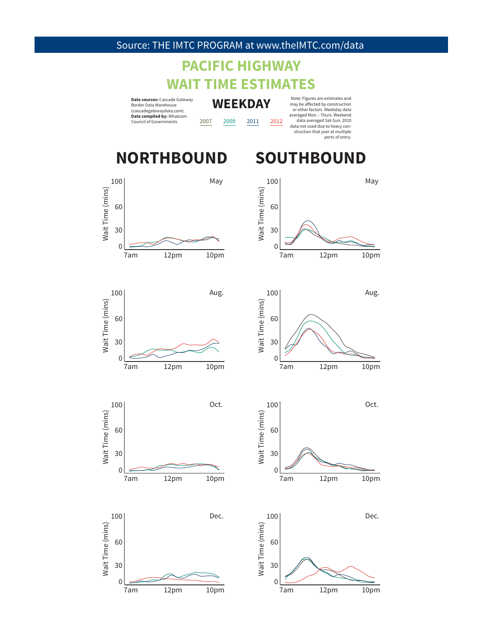# **PACIFIC HIGHWAY WAIT TIME ESTIMATES**

**Data sources:** Cascade Gateway Border Data Warehouse (cascadegatewaydata.com) **Data compiled by:** Whatcom Council of Governments

**WEEKDAY** 2007 2009 2011 2012

Note: Figures are estimates and may be aff ected by construction or other factors. Weekday data averaged Mon. - Thurs. Weekend data averaged Sat-Sun. 2010 data not used due to heavy construction that year at multiple ports of entry.

## **NORTHBOUND SOUTHBOUND**



















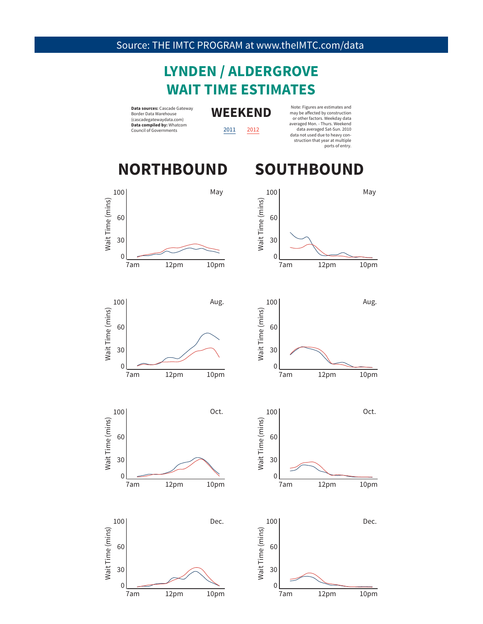## **LYNDEN / ALDERGROVE WAIT TIME ESTIMATES**

**Data sources:** Cascade Gateway<br> **WEEKEND** Border Data Warehouse (cascadegatewaydata.com) **Data compiled by:** Whatcom Council of Governments

2011 2012

Note: Figures are estimates and<br>may be affected by construction<br>or other factors. Weekday data<br>averaged Mon. - Thurs. Weekend data averaged Sat-Sun. 2010 data not used due to heavy construction that year at multiple ports of entry.

## **NORTHBOUND SOUTHBOUND**









7am 12pm 10pm

Dec.

Wait Time (mins)

Wait Time (mins)

100

30

0

60





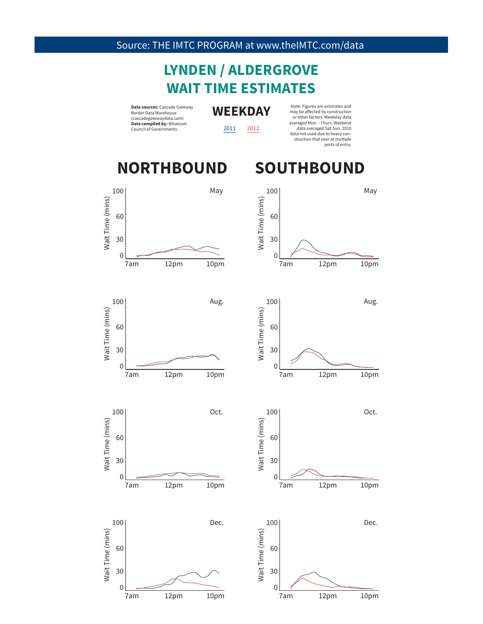## **LYNDEN / ALDERGROVE WAIT TIME ESTIMATES**

**Data sources:** Cascade Gateway Border Data Warehouse (cascadegatewaydata.com) **Data compiled by:** Whatcom Council of Governments

**WEEKDAY**

2011 2012

Note: Figures are estimates and may be affected by construction<br>or other factors. Weekday data averaged Mon. - Thurs. Weekend data averaged Sat-Sun. 2010 data not used due to heavy construction that year at multiple ports of entry.

# **NORTHBOUND SOUTHBOUND**









7am 12pm 10pm

Dec.

Wait Time (mins)

Wait Time (mins)

100

30

0

60





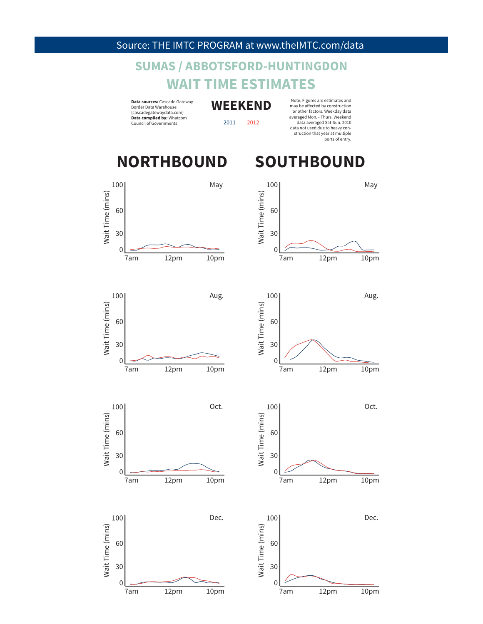## **SUMAS / ABBOTSFORD-HUNTINGDON WAIT TIME ESTIMATES**

**Data sources:** Cascade Gateway Border Data Warehouse (cascadegatewaydata.com) **Data compiled by:** Whatcom Council of Governments

**WEEKEND**

2011 2012

Note: Figures are estimates and may be aff ected by construction or other factors. Weekday data averaged Mon. - Thurs. Weekend data averaged Sat-Sun. 2010 data not used due to heavy construction that year at multiple ports of entry.

## **NORTHBOUND SOUTHBOUND**











7am 12pm 10pm